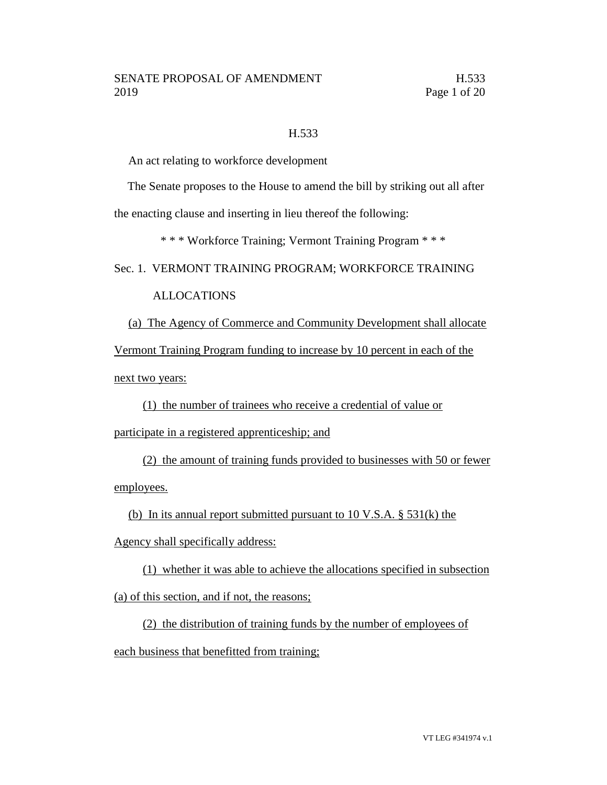### H.533

An act relating to workforce development

The Senate proposes to the House to amend the bill by striking out all after

the enacting clause and inserting in lieu thereof the following:

\* \* \* Workforce Training; Vermont Training Program \* \* \*

#### Sec. 1. VERMONT TRAINING PROGRAM; WORKFORCE TRAINING

# ALLOCATIONS

(a) The Agency of Commerce and Community Development shall allocate Vermont Training Program funding to increase by 10 percent in each of the

next two years:

(1) the number of trainees who receive a credential of value or

participate in a registered apprenticeship; and

(2) the amount of training funds provided to businesses with 50 or fewer employees.

(b) In its annual report submitted pursuant to  $10 \text{ V.S.A.}$  §  $531(\text{k})$  the

Agency shall specifically address:

(1) whether it was able to achieve the allocations specified in subsection (a) of this section, and if not, the reasons;

(2) the distribution of training funds by the number of employees of each business that benefitted from training;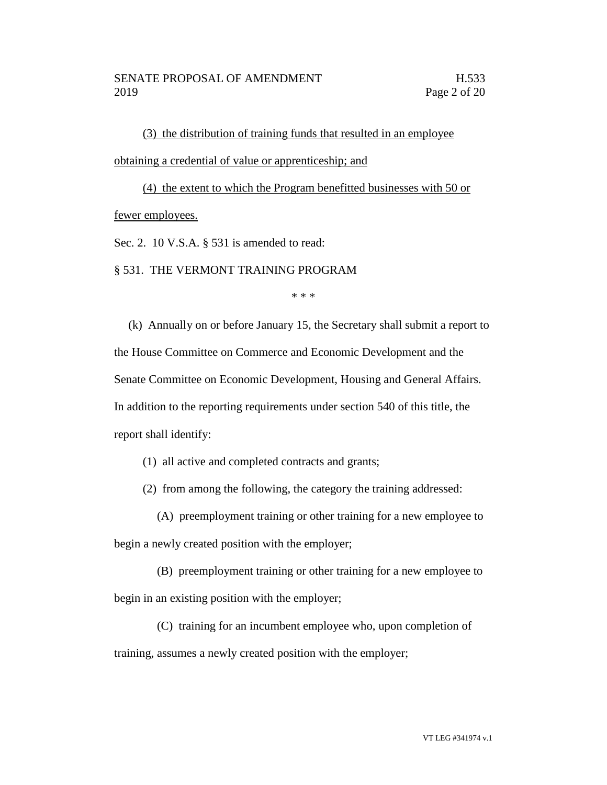(3) the distribution of training funds that resulted in an employee obtaining a credential of value or apprenticeship; and

(4) the extent to which the Program benefitted businesses with 50 or fewer employees.

Sec. 2. 10 V.S.A. § 531 is amended to read:

§ 531. THE VERMONT TRAINING PROGRAM

\* \* \*

(k) Annually on or before January 15, the Secretary shall submit a report to the House Committee on Commerce and Economic Development and the Senate Committee on Economic Development, Housing and General Affairs. In addition to the reporting requirements under section 540 of this title, the report shall identify:

(1) all active and completed contracts and grants;

(2) from among the following, the category the training addressed:

(A) preemployment training or other training for a new employee to

begin a newly created position with the employer;

(B) preemployment training or other training for a new employee to begin in an existing position with the employer;

(C) training for an incumbent employee who, upon completion of training, assumes a newly created position with the employer;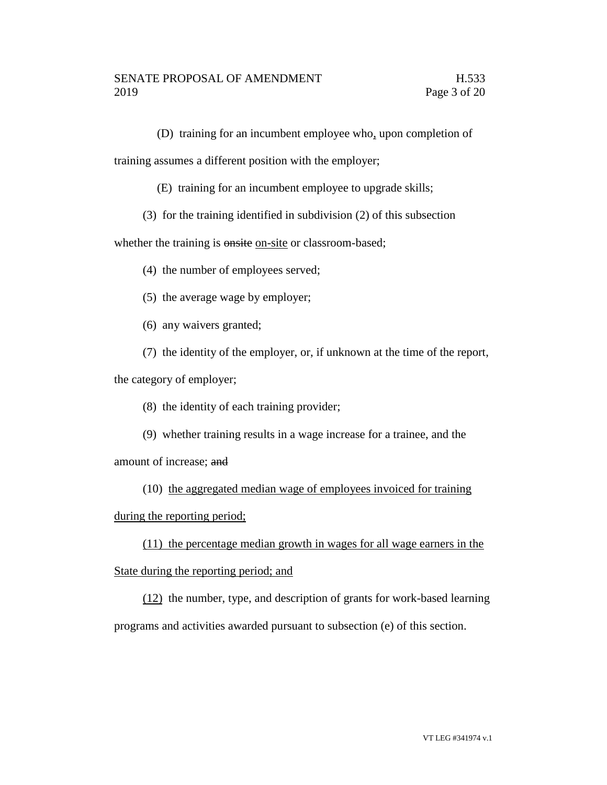(D) training for an incumbent employee who, upon completion of

training assumes a different position with the employer;

(E) training for an incumbent employee to upgrade skills;

(3) for the training identified in subdivision (2) of this subsection

whether the training is onsite on-site or classroom-based;

(4) the number of employees served;

(5) the average wage by employer;

(6) any waivers granted;

(7) the identity of the employer, or, if unknown at the time of the report,

the category of employer;

- (8) the identity of each training provider;
- (9) whether training results in a wage increase for a trainee, and the

amount of increase; and

(10) the aggregated median wage of employees invoiced for training

during the reporting period;

(11) the percentage median growth in wages for all wage earners in the State during the reporting period; and

(12) the number, type, and description of grants for work-based learning programs and activities awarded pursuant to subsection (e) of this section.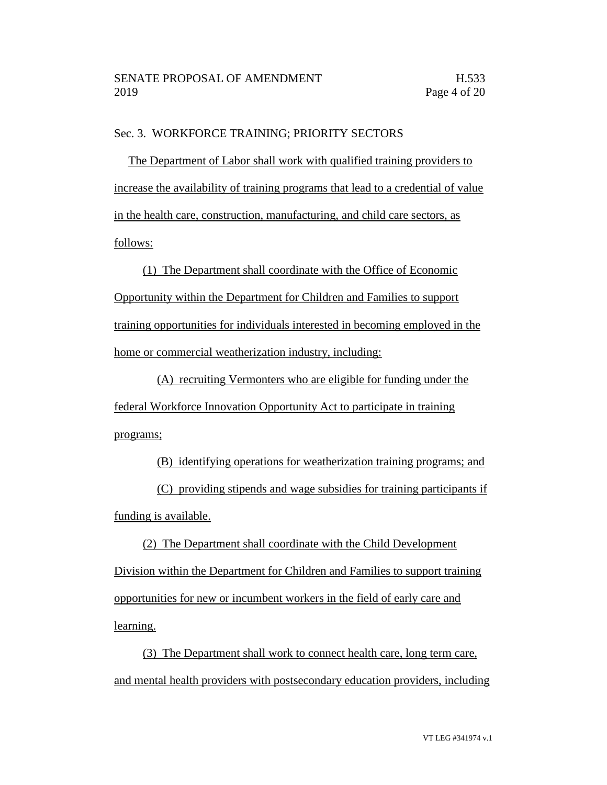### Sec. 3. WORKFORCE TRAINING; PRIORITY SECTORS

The Department of Labor shall work with qualified training providers to increase the availability of training programs that lead to a credential of value in the health care, construction, manufacturing, and child care sectors, as follows:

(1) The Department shall coordinate with the Office of Economic Opportunity within the Department for Children and Families to support training opportunities for individuals interested in becoming employed in the home or commercial weatherization industry, including:

(A) recruiting Vermonters who are eligible for funding under the federal Workforce Innovation Opportunity Act to participate in training programs;

(B) identifying operations for weatherization training programs; and

(C) providing stipends and wage subsidies for training participants if funding is available.

(2) The Department shall coordinate with the Child Development Division within the Department for Children and Families to support training opportunities for new or incumbent workers in the field of early care and learning.

(3) The Department shall work to connect health care, long term care, and mental health providers with postsecondary education providers, including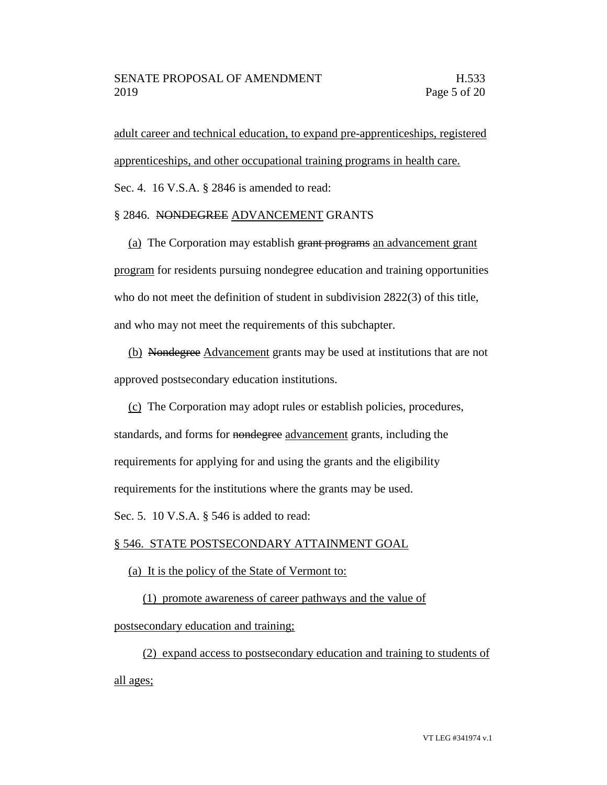adult career and technical education, to expand pre-apprenticeships, registered apprenticeships, and other occupational training programs in health care.

Sec. 4. 16 V.S.A. § 2846 is amended to read:

# § 2846. NONDEGREE ADVANCEMENT GRANTS

(a) The Corporation may establish grant programs an advancement grant program for residents pursuing nondegree education and training opportunities who do not meet the definition of student in subdivision 2822(3) of this title, and who may not meet the requirements of this subchapter.

(b) Nondegree Advancement grants may be used at institutions that are not approved postsecondary education institutions.

(c) The Corporation may adopt rules or establish policies, procedures,

standards, and forms for nondegree advancement grants, including the

requirements for applying for and using the grants and the eligibility

requirements for the institutions where the grants may be used.

Sec. 5. 10 V.S.A. § 546 is added to read:

# § 546. STATE POSTSECONDARY ATTAINMENT GOAL

# (a) It is the policy of the State of Vermont to:

(1) promote awareness of career pathways and the value of

postsecondary education and training;

(2) expand access to postsecondary education and training to students of all ages;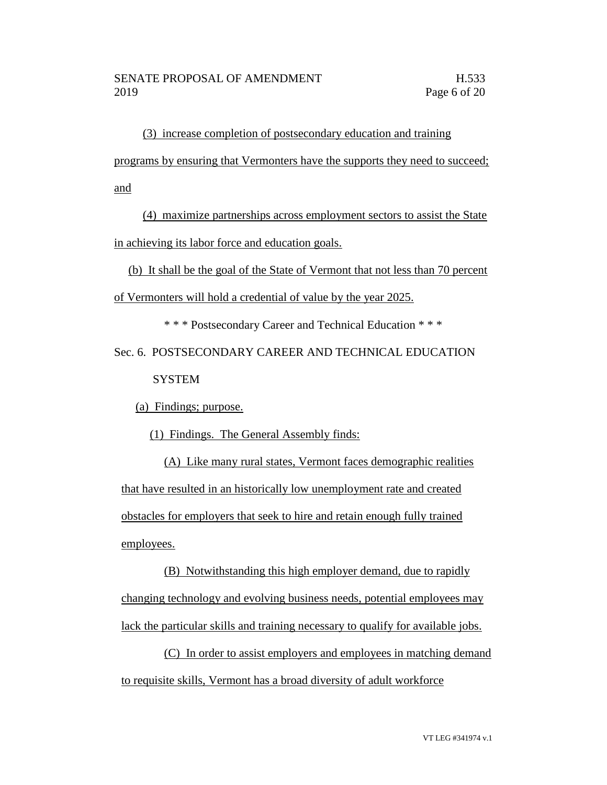(3) increase completion of postsecondary education and training programs by ensuring that Vermonters have the supports they need to succeed; and

(4) maximize partnerships across employment sectors to assist the State in achieving its labor force and education goals.

(b) It shall be the goal of the State of Vermont that not less than 70 percent of Vermonters will hold a credential of value by the year 2025.

\* \* \* Postsecondary Career and Technical Education \* \* \*

Sec. 6. POSTSECONDARY CAREER AND TECHNICAL EDUCATION **SYSTEM** 

(a) Findings; purpose.

(1) Findings. The General Assembly finds:

(A) Like many rural states, Vermont faces demographic realities that have resulted in an historically low unemployment rate and created obstacles for employers that seek to hire and retain enough fully trained employees.

(B) Notwithstanding this high employer demand, due to rapidly changing technology and evolving business needs, potential employees may lack the particular skills and training necessary to qualify for available jobs.

(C) In order to assist employers and employees in matching demand to requisite skills, Vermont has a broad diversity of adult workforce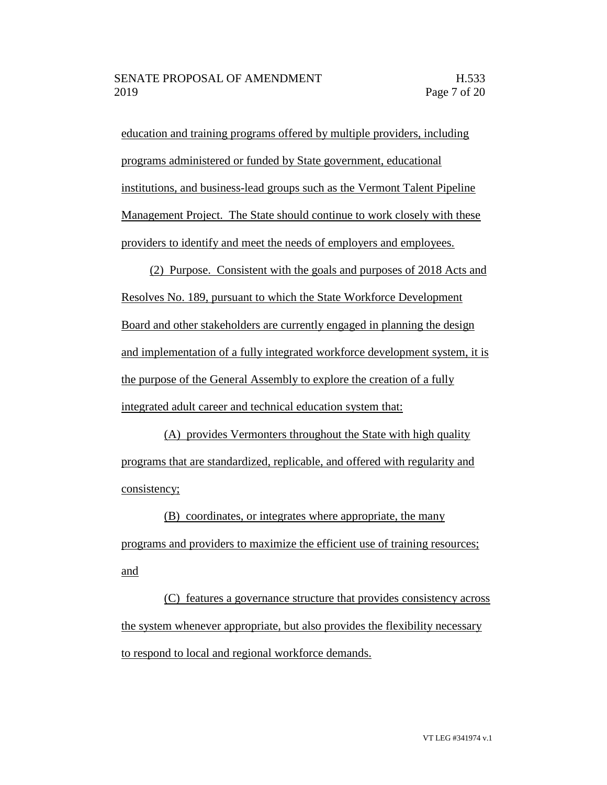education and training programs offered by multiple providers, including programs administered or funded by State government, educational institutions, and business-lead groups such as the Vermont Talent Pipeline Management Project. The State should continue to work closely with these providers to identify and meet the needs of employers and employees.

(2) Purpose. Consistent with the goals and purposes of 2018 Acts and Resolves No. 189, pursuant to which the State Workforce Development Board and other stakeholders are currently engaged in planning the design and implementation of a fully integrated workforce development system, it is the purpose of the General Assembly to explore the creation of a fully integrated adult career and technical education system that:

(A) provides Vermonters throughout the State with high quality programs that are standardized, replicable, and offered with regularity and consistency;

(B) coordinates, or integrates where appropriate, the many programs and providers to maximize the efficient use of training resources; and

(C) features a governance structure that provides consistency across the system whenever appropriate, but also provides the flexibility necessary to respond to local and regional workforce demands.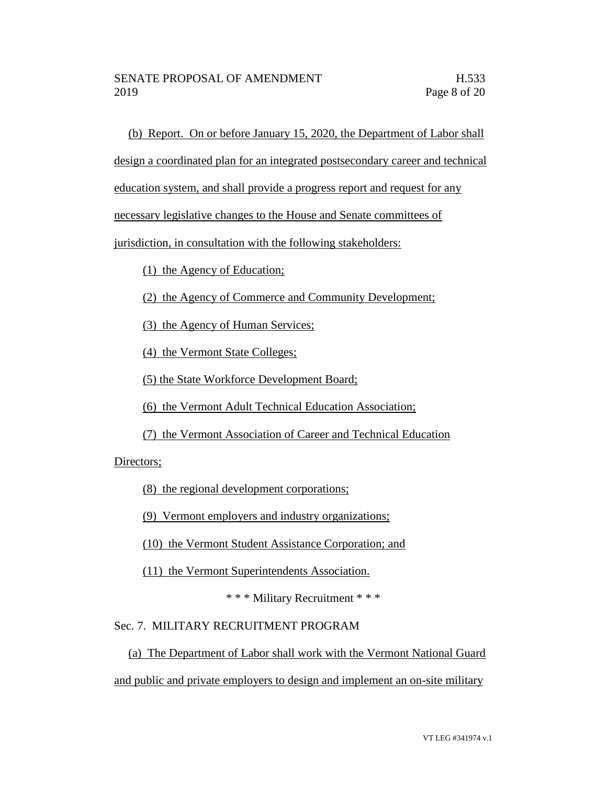(b) Report. On or before January 15, 2020, the Department of Labor shall

design a coordinated plan for an integrated postsecondary career and technical

education system, and shall provide a progress report and request for any

necessary legislative changes to the House and Senate committees of

jurisdiction, in consultation with the following stakeholders:

(1) the Agency of Education;

(2) the Agency of Commerce and Community Development;

(3) the Agency of Human Services;

(4) the Vermont State Colleges;

(5) the State Workforce Development Board;

(6) the Vermont Adult Technical Education Association;

(7) the Vermont Association of Career and Technical Education

Directors;

(8) the regional development corporations;

(9) Vermont employers and industry organizations;

(10) the Vermont Student Assistance Corporation; and

(11) the Vermont Superintendents Association.

\* \* \* Military Recruitment \* \* \*

#### Sec. 7. MILITARY RECRUITMENT PROGRAM

(a) The Department of Labor shall work with the Vermont National Guard and public and private employers to design and implement an on-site military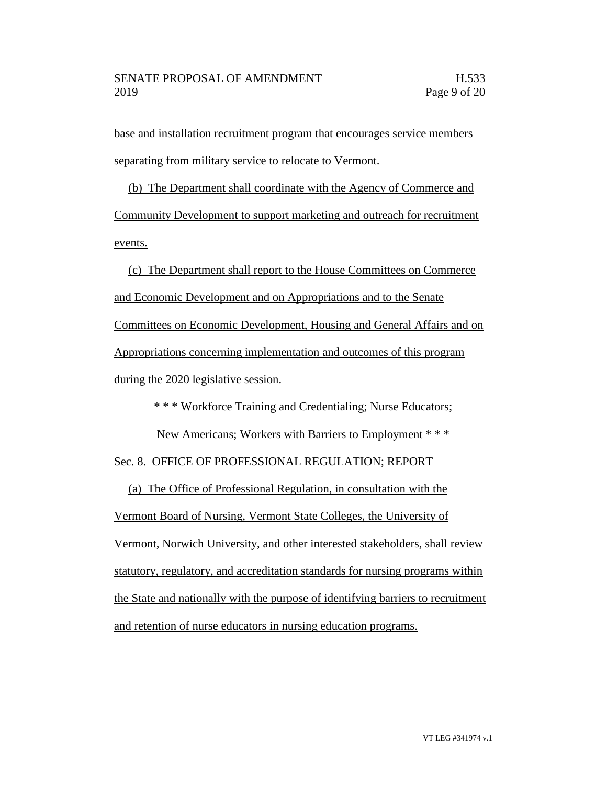base and installation recruitment program that encourages service members separating from military service to relocate to Vermont.

(b) The Department shall coordinate with the Agency of Commerce and Community Development to support marketing and outreach for recruitment events.

(c) The Department shall report to the House Committees on Commerce and Economic Development and on Appropriations and to the Senate Committees on Economic Development, Housing and General Affairs and on Appropriations concerning implementation and outcomes of this program during the 2020 legislative session.

\* \* \* Workforce Training and Credentialing; Nurse Educators;

New Americans; Workers with Barriers to Employment \* \* \* Sec. 8. OFFICE OF PROFESSIONAL REGULATION; REPORT

(a) The Office of Professional Regulation, in consultation with the Vermont Board of Nursing, Vermont State Colleges, the University of Vermont, Norwich University, and other interested stakeholders, shall review statutory, regulatory, and accreditation standards for nursing programs within the State and nationally with the purpose of identifying barriers to recruitment and retention of nurse educators in nursing education programs.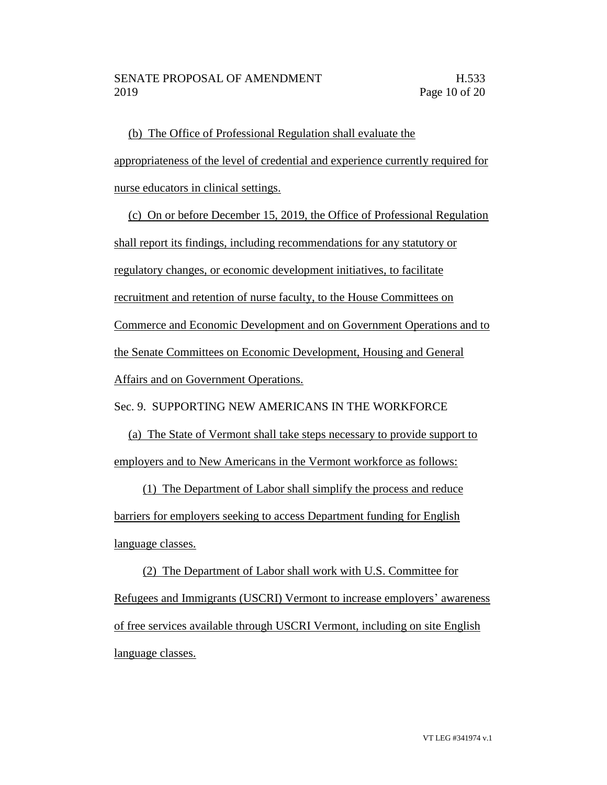(b) The Office of Professional Regulation shall evaluate the appropriateness of the level of credential and experience currently required for nurse educators in clinical settings.

(c) On or before December 15, 2019, the Office of Professional Regulation shall report its findings, including recommendations for any statutory or regulatory changes, or economic development initiatives, to facilitate recruitment and retention of nurse faculty, to the House Committees on Commerce and Economic Development and on Government Operations and to the Senate Committees on Economic Development, Housing and General Affairs and on Government Operations.

Sec. 9. SUPPORTING NEW AMERICANS IN THE WORKFORCE

(a) The State of Vermont shall take steps necessary to provide support to employers and to New Americans in the Vermont workforce as follows:

(1) The Department of Labor shall simplify the process and reduce barriers for employers seeking to access Department funding for English language classes.

(2) The Department of Labor shall work with U.S. Committee for Refugees and Immigrants (USCRI) Vermont to increase employers' awareness of free services available through USCRI Vermont, including on site English language classes.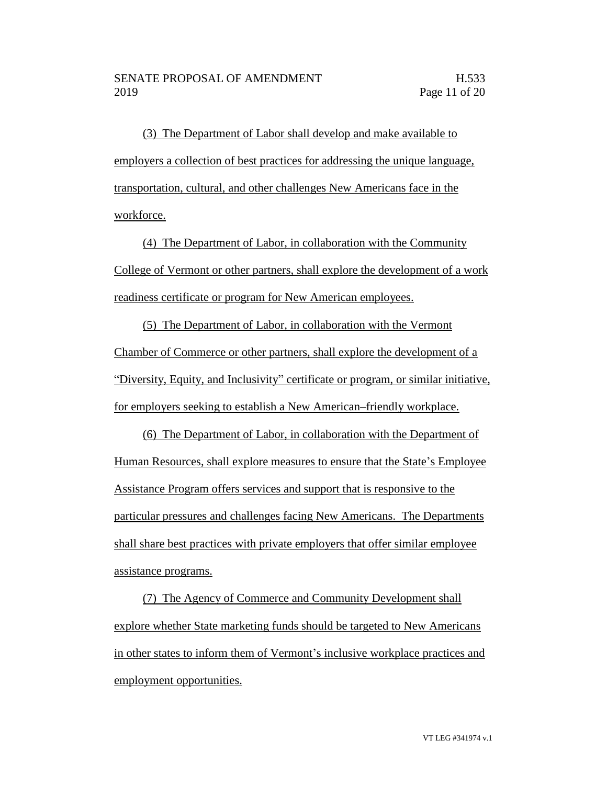(3) The Department of Labor shall develop and make available to employers a collection of best practices for addressing the unique language, transportation, cultural, and other challenges New Americans face in the workforce.

(4) The Department of Labor, in collaboration with the Community College of Vermont or other partners, shall explore the development of a work readiness certificate or program for New American employees.

(5) The Department of Labor, in collaboration with the Vermont Chamber of Commerce or other partners, shall explore the development of a "Diversity, Equity, and Inclusivity" certificate or program, or similar initiative, for employers seeking to establish a New American–friendly workplace.

(6) The Department of Labor, in collaboration with the Department of Human Resources, shall explore measures to ensure that the State's Employee Assistance Program offers services and support that is responsive to the particular pressures and challenges facing New Americans. The Departments shall share best practices with private employers that offer similar employee assistance programs.

(7) The Agency of Commerce and Community Development shall explore whether State marketing funds should be targeted to New Americans in other states to inform them of Vermont's inclusive workplace practices and employment opportunities.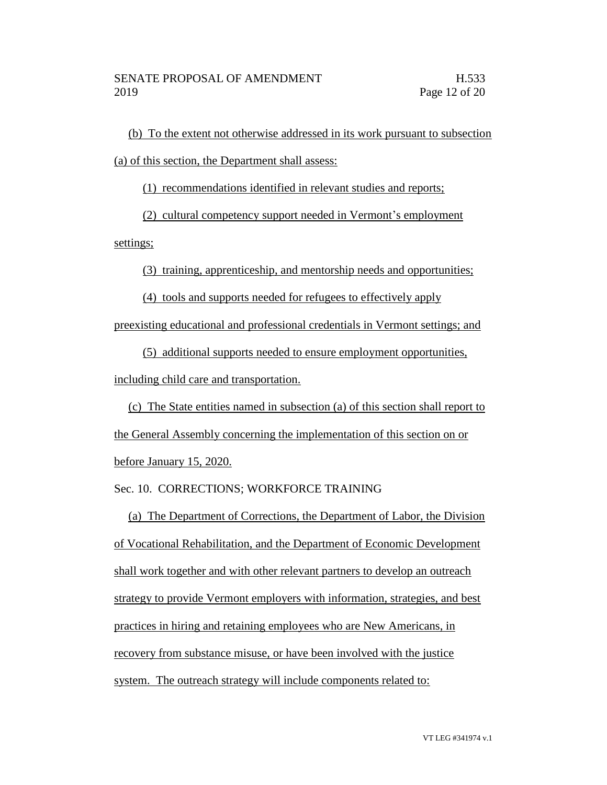(b) To the extent not otherwise addressed in its work pursuant to subsection (a) of this section, the Department shall assess:

(1) recommendations identified in relevant studies and reports;

(2) cultural competency support needed in Vermont's employment

settings;

(3) training, apprenticeship, and mentorship needs and opportunities;

(4) tools and supports needed for refugees to effectively apply

preexisting educational and professional credentials in Vermont settings; and

(5) additional supports needed to ensure employment opportunities,

including child care and transportation.

(c) The State entities named in subsection (a) of this section shall report to the General Assembly concerning the implementation of this section on or before January 15, 2020.

Sec. 10. CORRECTIONS; WORKFORCE TRAINING

(a) The Department of Corrections, the Department of Labor, the Division of Vocational Rehabilitation, and the Department of Economic Development shall work together and with other relevant partners to develop an outreach strategy to provide Vermont employers with information, strategies, and best practices in hiring and retaining employees who are New Americans, in recovery from substance misuse, or have been involved with the justice system. The outreach strategy will include components related to: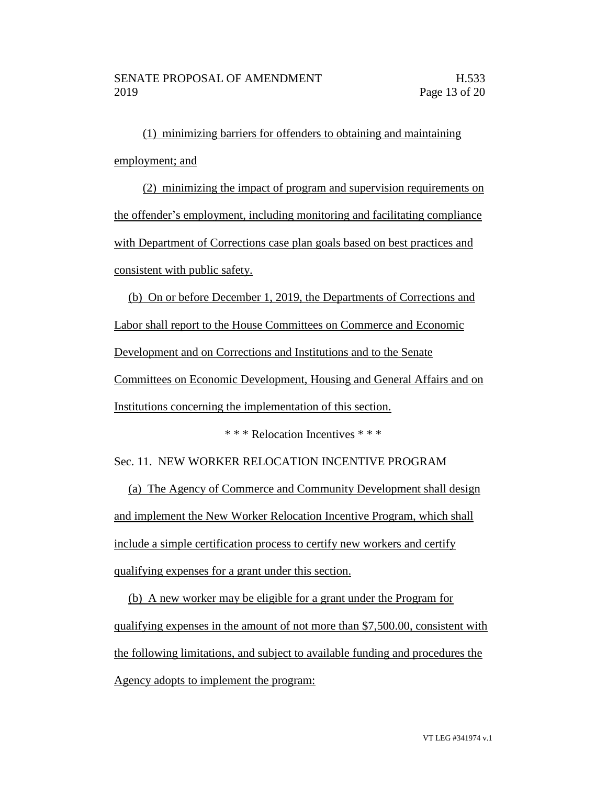(1) minimizing barriers for offenders to obtaining and maintaining employment; and

(2) minimizing the impact of program and supervision requirements on the offender's employment, including monitoring and facilitating compliance with Department of Corrections case plan goals based on best practices and consistent with public safety.

(b) On or before December 1, 2019, the Departments of Corrections and Labor shall report to the House Committees on Commerce and Economic Development and on Corrections and Institutions and to the Senate Committees on Economic Development, Housing and General Affairs and on Institutions concerning the implementation of this section.

\* \* \* Relocation Incentives \* \* \*

Sec. 11. NEW WORKER RELOCATION INCENTIVE PROGRAM

(a) The Agency of Commerce and Community Development shall design and implement the New Worker Relocation Incentive Program, which shall include a simple certification process to certify new workers and certify qualifying expenses for a grant under this section.

(b) A new worker may be eligible for a grant under the Program for qualifying expenses in the amount of not more than \$7,500.00, consistent with the following limitations, and subject to available funding and procedures the Agency adopts to implement the program: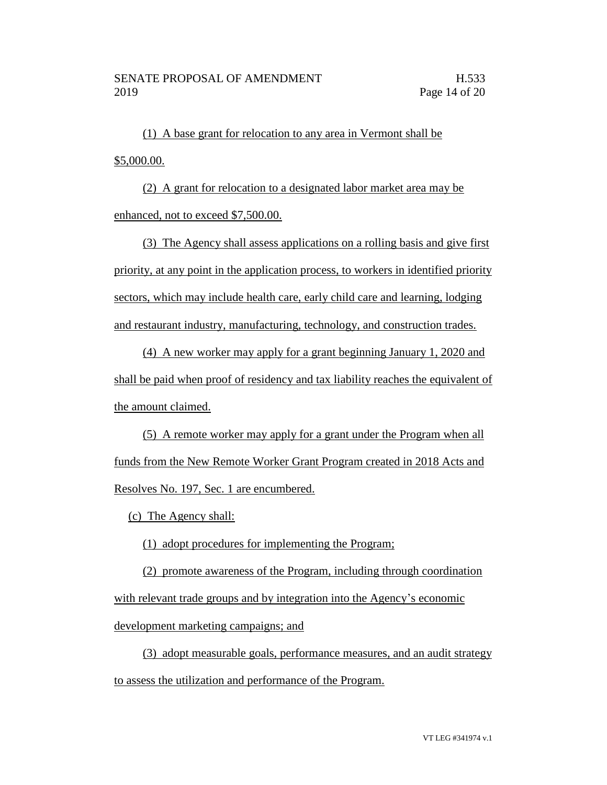(1) A base grant for relocation to any area in Vermont shall be \$5,000.00.

(2) A grant for relocation to a designated labor market area may be enhanced, not to exceed \$7,500.00.

(3) The Agency shall assess applications on a rolling basis and give first priority, at any point in the application process, to workers in identified priority sectors, which may include health care, early child care and learning, lodging and restaurant industry, manufacturing, technology, and construction trades.

(4) A new worker may apply for a grant beginning January 1, 2020 and shall be paid when proof of residency and tax liability reaches the equivalent of the amount claimed.

(5) A remote worker may apply for a grant under the Program when all funds from the New Remote Worker Grant Program created in 2018 Acts and Resolves No. 197, Sec. 1 are encumbered.

(c) The Agency shall:

(1) adopt procedures for implementing the Program;

(2) promote awareness of the Program, including through coordination with relevant trade groups and by integration into the Agency's economic development marketing campaigns; and

(3) adopt measurable goals, performance measures, and an audit strategy to assess the utilization and performance of the Program.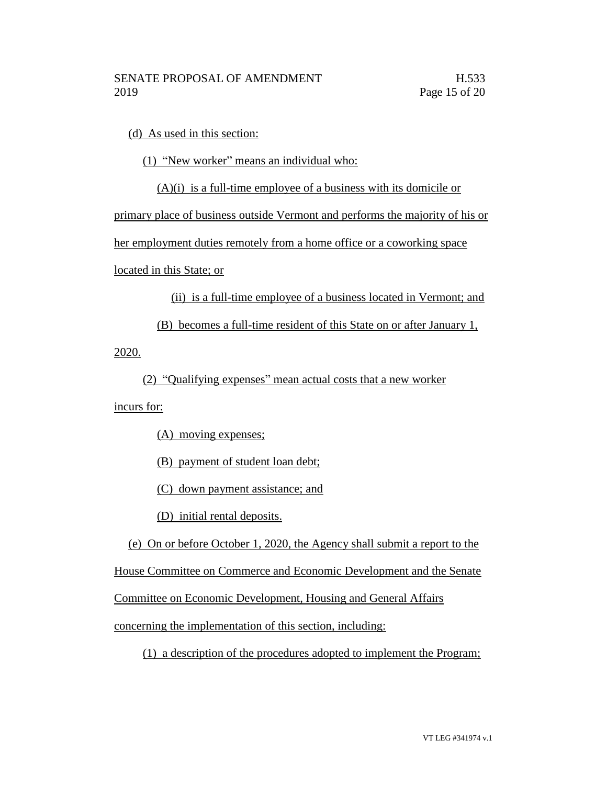(d) As used in this section:

(1) "New worker" means an individual who:

(A)(i) is a full-time employee of a business with its domicile or

primary place of business outside Vermont and performs the majority of his or

her employment duties remotely from a home office or a coworking space

located in this State; or

(ii) is a full-time employee of a business located in Vermont; and

(B) becomes a full-time resident of this State on or after January 1,

2020.

(2) "Qualifying expenses" mean actual costs that a new worker

incurs for:

(A) moving expenses;

(B) payment of student loan debt;

(C) down payment assistance; and

(D) initial rental deposits.

(e) On or before October 1, 2020, the Agency shall submit a report to the

House Committee on Commerce and Economic Development and the Senate

Committee on Economic Development, Housing and General Affairs

concerning the implementation of this section, including:

(1) a description of the procedures adopted to implement the Program;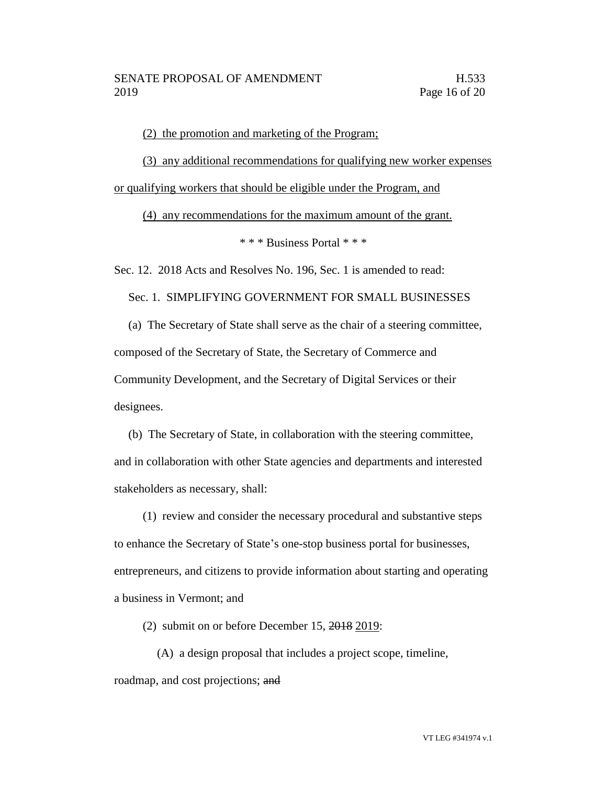(2) the promotion and marketing of the Program;

(3) any additional recommendations for qualifying new worker expenses or qualifying workers that should be eligible under the Program, and

(4) any recommendations for the maximum amount of the grant.

\* \* \* Business Portal \* \* \*

Sec. 12. 2018 Acts and Resolves No. 196, Sec. 1 is amended to read:

Sec. 1. SIMPLIFYING GOVERNMENT FOR SMALL BUSINESSES

(a) The Secretary of State shall serve as the chair of a steering committee, composed of the Secretary of State, the Secretary of Commerce and Community Development, and the Secretary of Digital Services or their designees.

(b) The Secretary of State, in collaboration with the steering committee, and in collaboration with other State agencies and departments and interested stakeholders as necessary, shall:

(1) review and consider the necessary procedural and substantive steps to enhance the Secretary of State's one-stop business portal for businesses, entrepreneurs, and citizens to provide information about starting and operating a business in Vermont; and

(2) submit on or before December 15, 2018 2019:

(A) a design proposal that includes a project scope, timeline, roadmap, and cost projections; and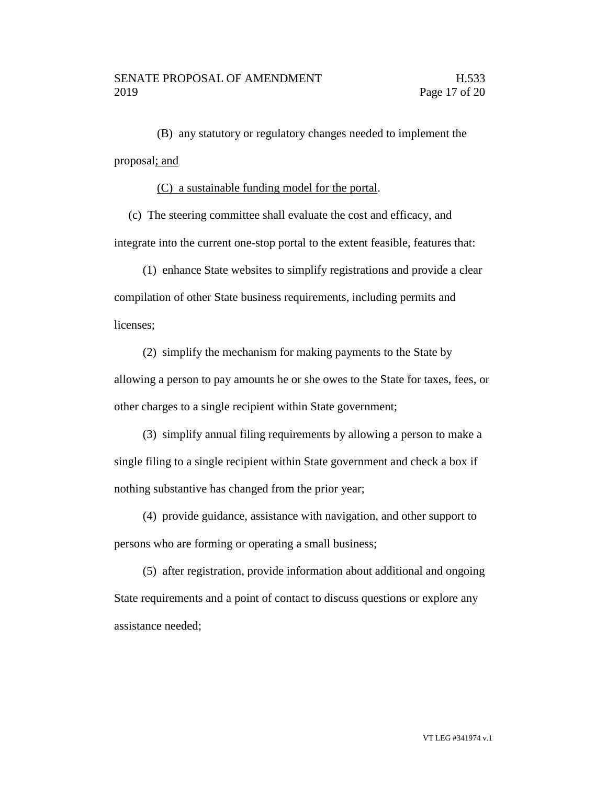(B) any statutory or regulatory changes needed to implement the proposal; and

(C) a sustainable funding model for the portal.

(c) The steering committee shall evaluate the cost and efficacy, and integrate into the current one-stop portal to the extent feasible, features that:

(1) enhance State websites to simplify registrations and provide a clear compilation of other State business requirements, including permits and licenses;

(2) simplify the mechanism for making payments to the State by allowing a person to pay amounts he or she owes to the State for taxes, fees, or other charges to a single recipient within State government;

(3) simplify annual filing requirements by allowing a person to make a single filing to a single recipient within State government and check a box if nothing substantive has changed from the prior year;

(4) provide guidance, assistance with navigation, and other support to persons who are forming or operating a small business;

(5) after registration, provide information about additional and ongoing State requirements and a point of contact to discuss questions or explore any assistance needed;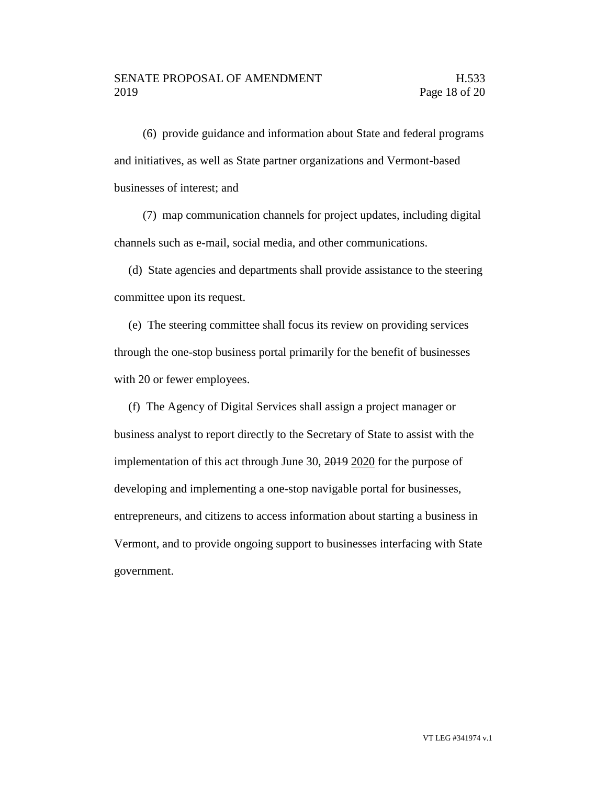(6) provide guidance and information about State and federal programs and initiatives, as well as State partner organizations and Vermont-based businesses of interest; and

(7) map communication channels for project updates, including digital channels such as e-mail, social media, and other communications.

(d) State agencies and departments shall provide assistance to the steering committee upon its request.

(e) The steering committee shall focus its review on providing services through the one-stop business portal primarily for the benefit of businesses with 20 or fewer employees.

(f) The Agency of Digital Services shall assign a project manager or business analyst to report directly to the Secretary of State to assist with the implementation of this act through June 30, 2019 2020 for the purpose of developing and implementing a one-stop navigable portal for businesses, entrepreneurs, and citizens to access information about starting a business in Vermont, and to provide ongoing support to businesses interfacing with State government.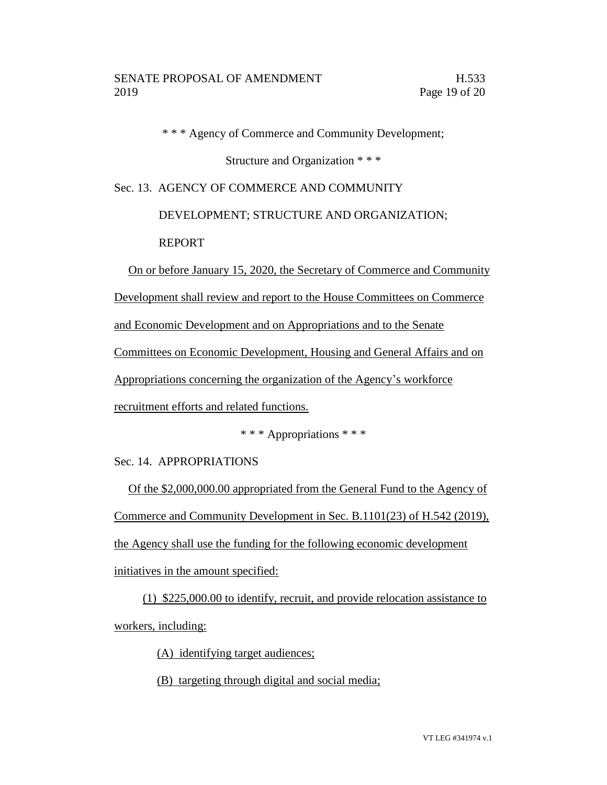\* \* \* Agency of Commerce and Community Development;

Structure and Organization \* \* \*

Sec. 13. AGENCY OF COMMERCE AND COMMUNITY

DEVELOPMENT; STRUCTURE AND ORGANIZATION;

REPORT

On or before January 15, 2020, the Secretary of Commerce and Community

Development shall review and report to the House Committees on Commerce

and Economic Development and on Appropriations and to the Senate

Committees on Economic Development, Housing and General Affairs and on

Appropriations concerning the organization of the Agency's workforce

recruitment efforts and related functions.

\* \* \* Appropriations \* \* \*

Sec. 14. APPROPRIATIONS

Of the \$2,000,000.00 appropriated from the General Fund to the Agency of Commerce and Community Development in Sec. B.1101(23) of H.542 (2019), the Agency shall use the funding for the following economic development initiatives in the amount specified:

(1) \$225,000.00 to identify, recruit, and provide relocation assistance to workers, including:

(A) identifying target audiences;

(B) targeting through digital and social media;